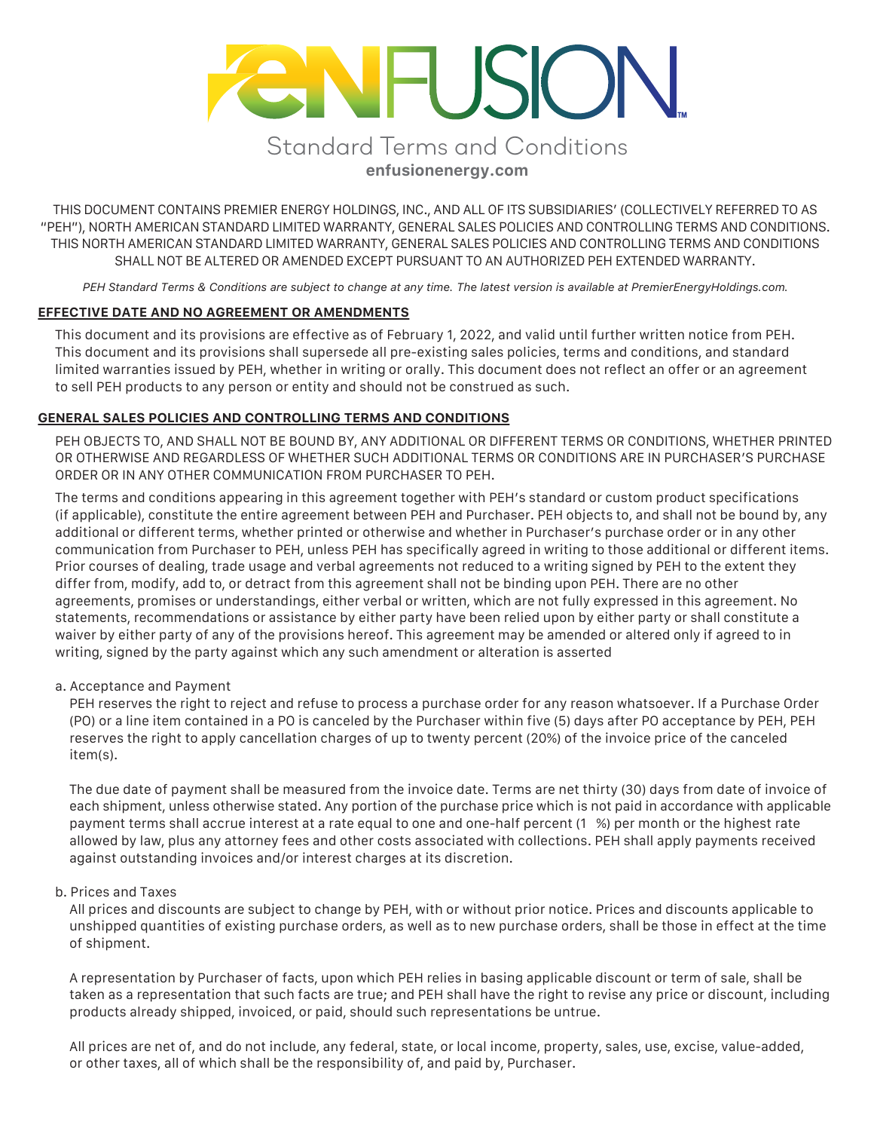# **ENFUSION** *Standard Terms and Conditions*

**enfusionenergy.com**

THIS DOCUMENT CONTAINS PREMIER ENERGY HOLDINGS, INC., AND ALL OF ITS SUBSIDIARIES' (COLLECTIVELY REFERRED TO AS "PEH"), NORTH AMERICAN STANDARD LIMITED WARRANTY, GENERAL SALES POLICIES AND CONTROLLING TERMS AND CONDITIONS. THIS NORTH AMERICAN STANDARD LIMITED WARRANTY, GENERAL SALES POLICIES AND CONTROLLING TERMS AND CONDITIONS SHALL NOT BE ALTERED OR AMENDED EXCEPT PURSUANT TO AN AUTHORIZED PEH EXTENDED WARRANTY.

*PEH Standard Terms & Conditions are subject to change at any time. The latest version is available at PremierEnergyHoldings.com.*

# **EFFECTIVE DATE AND NO AGREEMENT OR AMENDMENTS**

This document and its provisions are effective as of February 1, 2022, and valid until further written notice from PEH. This document and its provisions shall supersede all pre-existing sales policies, terms and conditions, and standard limited warranties issued by PEH, whether in writing or orally. This document does not reflect an offer or an agreement to sell PEH products to any person or entity and should not be construed as such.

## **GENERAL SALES POLICIES AND CONTROLLING TERMS AND CONDITIONS**

PEH OBJECTS TO, AND SHALL NOT BE BOUND BY, ANY ADDITIONAL OR DIFFERENT TERMS OR CONDITIONS, WHETHER PRINTED OR OTHERWISE AND REGARDLESS OF WHETHER SUCH ADDITIONAL TERMS OR CONDITIONS ARE IN PURCHASER'S PURCHASE ORDER OR IN ANY OTHER COMMUNICATION FROM PURCHASER TO PEH.

The terms and conditions appearing in this agreement together with PEH's standard or custom product specifications (if applicable), constitute the entire agreement between PEH and Purchaser. PEH objects to, and shall not be bound by, any additional or different terms, whether printed or otherwise and whether in Purchaser's purchase order or in any other communication from Purchaser to PEH, unless PEH has specifically agreed in writing to those additional or different items. Prior courses of dealing, trade usage and verbal agreements not reduced to a writing signed by PEH to the extent they differ from, modify, add to, or detract from this agreement shall not be binding upon PEH. There are no other agreements, promises or understandings, either verbal or written, which are not fully expressed in this agreement. No statements, recommendations or assistance by either party have been relied upon by either party or shall constitute a waiver by either party of any of the provisions hereof. This agreement may be amended or altered only if agreed to in writing, signed by the party against which any such amendment or alteration is asserted

## a. Acceptance and Payment

PEH reserves the right to reject and refuse to process a purchase order for any reason whatsoever. If a Purchase Order (PO) or a line item contained in a PO is canceled by the Purchaser within five (5) days after PO acceptance by PEH, PEH reserves the right to apply cancellation charges of up to twenty percent (20%) of the invoice price of the canceled item(s).

The due date of payment shall be measured from the invoice date. Terms are net thirty (30) days from date of invoice of each shipment, unless otherwise stated. Any portion of the purchase price which is not paid in accordance with applicable payment terms shall accrue interest at a rate equal to one and one-half percent (1 %) per month or the highest rate allowed by law, plus any attorney fees and other costs associated with collections. PEH shall apply payments received against outstanding invoices and/or interest charges at its discretion.

# b. Prices and Taxes

All prices and discounts are subject to change by PEH, with or without prior notice. Prices and discounts applicable to unshipped quantities of existing purchase orders, as well as to new purchase orders, shall be those in effect at the time of shipment.

A representation by Purchaser of facts, upon which PEH relies in basing applicable discount or term of sale, shall be taken as a representation that such facts are true; and PEH shall have the right to revise any price or discount, including products already shipped, invoiced, or paid, should such representations be untrue.

All prices are net of, and do not include, any federal, state, or local income, property, sales, use, excise, value-added, or other taxes, all of which shall be the responsibility of, and paid by, Purchaser.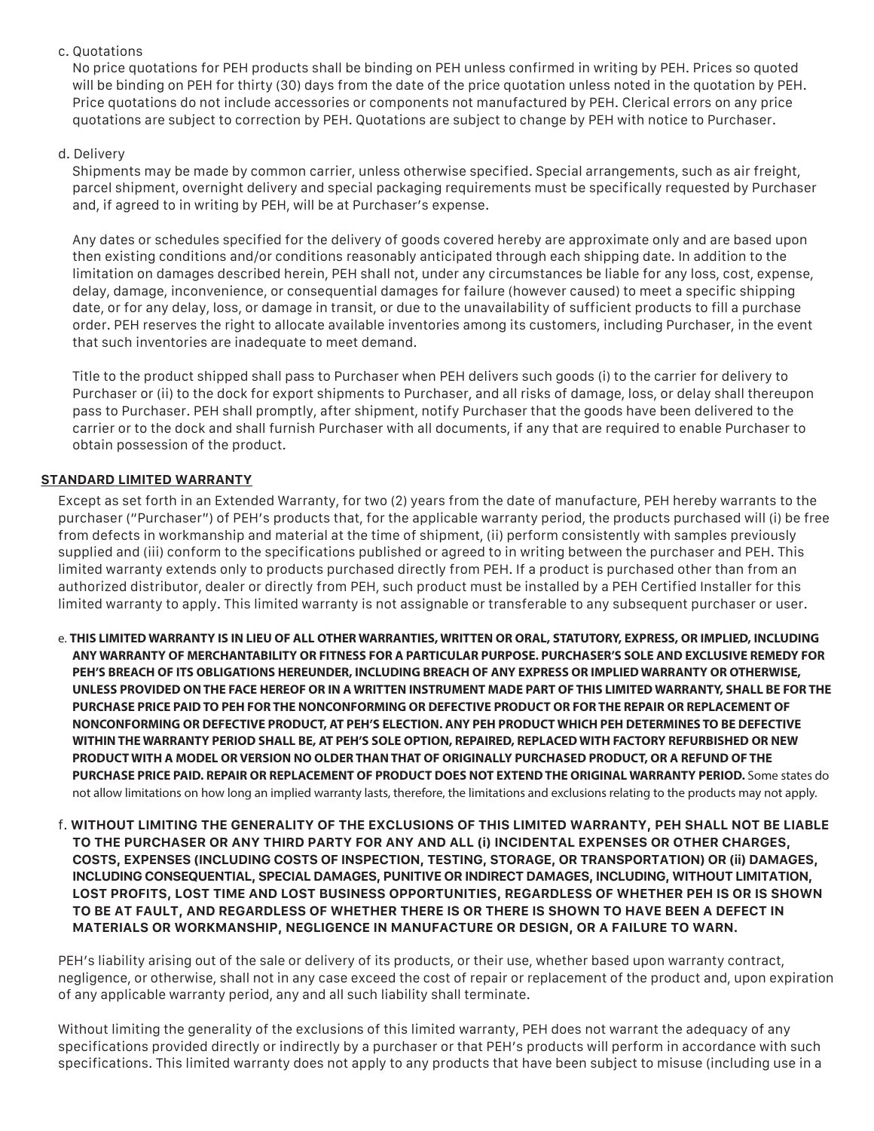# c. Quotations

No price quotations for PEH products shall be binding on PEH unless confirmed in writing by PEH. Prices so quoted will be binding on PEH for thirty (30) days from the date of the price quotation unless noted in the quotation by PEH. Price quotations do not include accessories or components not manufactured by PEH. Clerical errors on any price quotations are subject to correction by PEH. Quotations are subject to change by PEH with notice to Purchaser.

# d. Delivery

Shipments may be made by common carrier, unless otherwise specified. Special arrangements, such as air freight, parcel shipment, overnight delivery and special packaging requirements must be specifically requested by Purchaser and, if agreed to in writing by PEH, will be at Purchaser's expense.

Any dates or schedules specified for the delivery of goods covered hereby are approximate only and are based upon then existing conditions and/or conditions reasonably anticipated through each shipping date. In addition to the limitation on damages described herein, PEH shall not, under any circumstances be liable for any loss, cost, expense, delay, damage, inconvenience, or consequential damages for failure (however caused) to meet a specific shipping date, or for any delay, loss, or damage in transit, or due to the unavailability of sufficient products to fill a purchase order. PEH reserves the right to allocate available inventories among its customers, including Purchaser, in the event that such inventories are inadequate to meet demand.

Title to the product shipped shall pass to Purchaser when PEH delivers such goods (i) to the carrier for delivery to Purchaser or (ii) to the dock for export shipments to Purchaser, and all risks of damage, loss, or delay shall thereupon pass to Purchaser. PEH shall promptly, after shipment, notify Purchaser that the goods have been delivered to the carrier or to the dock and shall furnish Purchaser with all documents, if any that are required to enable Purchaser to obtain possession of the product.

# **STANDARD LIMITED WARRANTY**

Except as set forth in an Extended Warranty, for two (2) years from the date of manufacture, PEH hereby warrants to the purchaser ("Purchaser") of PEH's products that, for the applicable warranty period, the products purchased will (i) be free from defects in workmanship and material at the time of shipment, (ii) perform consistently with samples previously supplied and (iii) conform to the specifications published or agreed to in writing between the purchaser and PEH. This limited warranty extends only to products purchased directly from PEH. If a product is purchased other than from an authorized distributor, dealer or directly from PEH, such product must be installed by a PEH Certified Installer for this limited warranty to apply. This limited warranty is not assignable or transferable to any subsequent purchaser or user.

- e. **THIS LIMITED WARRANTY IS IN LIEU OF ALL OTHER WARRANTIES, WRITTEN OR ORAL, STATUTORY, EXPRESS, OR IMPLIED, INCLUDING ANY WARRANTY OF MERCHANTABILITY OR FITNESS FOR A PARTICULAR PURPOSE. PURCHASER'S SOLE AND EXCLUSIVE REMEDY FOR PEH'S BREACH OF ITS OBLIGATIONS HEREUNDER, INCLUDING BREACH OF ANY EXPRESS OR IMPLIED WARRANTY OR OTHERWISE, UNLESS PROVIDED ON THE FACE HEREOF OR IN A WRITTEN INSTRUMENT MADE PART OF THIS LIMITED WARRANTY, SHALL BE FOR THE PURCHASE PRICE PAID TO PEH FOR THE NONCONFORMING OR DEFECTIVE PRODUCT OR FOR THE REPAIR OR REPLACEMENT OF NONCONFORMING OR DEFECTIVE PRODUCT, AT PEH'S ELECTION. ANY PEH PRODUCT WHICH PEH DETERMINES TO BE DEFECTIVE WITHIN THE WARRANTY PERIOD SHALL BE, AT PEH'S SOLE OPTION, REPAIRED, REPLACED WITH FACTORY REFURBISHED OR NEW PRODUCT WITH A MODEL OR VERSION NO OLDER THAN THAT OF ORIGINALLY PURCHASED PRODUCT, OR A REFUND OF THE PURCHASE PRICE PAID. REPAIR OR REPLACEMENT OF PRODUCT DOES NOT EXTEND THE ORIGINAL WARRANTY PERIOD.** Some states do not allow limitations on how long an implied warranty lasts, therefore, the limitations and exclusions relating to the products may not apply.
- f. **WITHOUT LIMITING THE GENERALITY OF THE EXCLUSIONS OF THIS LIMITED WARRANTY, PEH SHALL NOT BE LIABLE TO THE PURCHASER OR ANY THIRD PARTY FOR ANY AND ALL (i) INCIDENTAL EXPENSES OR OTHER CHARGES, COSTS, EXPENSES (INCLUDING COSTS OF INSPECTION, TESTING, STORAGE, OR TRANSPORTATION) OR (ii) DAMAGES, INCLUDING CONSEQUENTIAL, SPECIAL DAMAGES, PUNITIVE OR INDIRECT DAMAGES, INCLUDING, WITHOUT LIMITATION, LOST PROFITS, LOST TIME AND LOST BUSINESS OPPORTUNITIES, REGARDLESS OF WHETHER PEH IS OR IS SHOWN TO BE AT FAULT, AND REGARDLESS OF WHETHER THERE IS OR THERE IS SHOWN TO HAVE BEEN A DEFECT IN MATERIALS OR WORKMANSHIP, NEGLIGENCE IN MANUFACTURE OR DESIGN, OR A FAILURE TO WARN.**

PEH's liability arising out of the sale or delivery of its products, or their use, whether based upon warranty contract, negligence, or otherwise, shall not in any case exceed the cost of repair or replacement of the product and, upon expiration of any applicable warranty period, any and all such liability shall terminate.

Without limiting the generality of the exclusions of this limited warranty, PEH does not warrant the adequacy of any specifications provided directly or indirectly by a purchaser or that PEH's products will perform in accordance with such specifications. This limited warranty does not apply to any products that have been subject to misuse (including use in a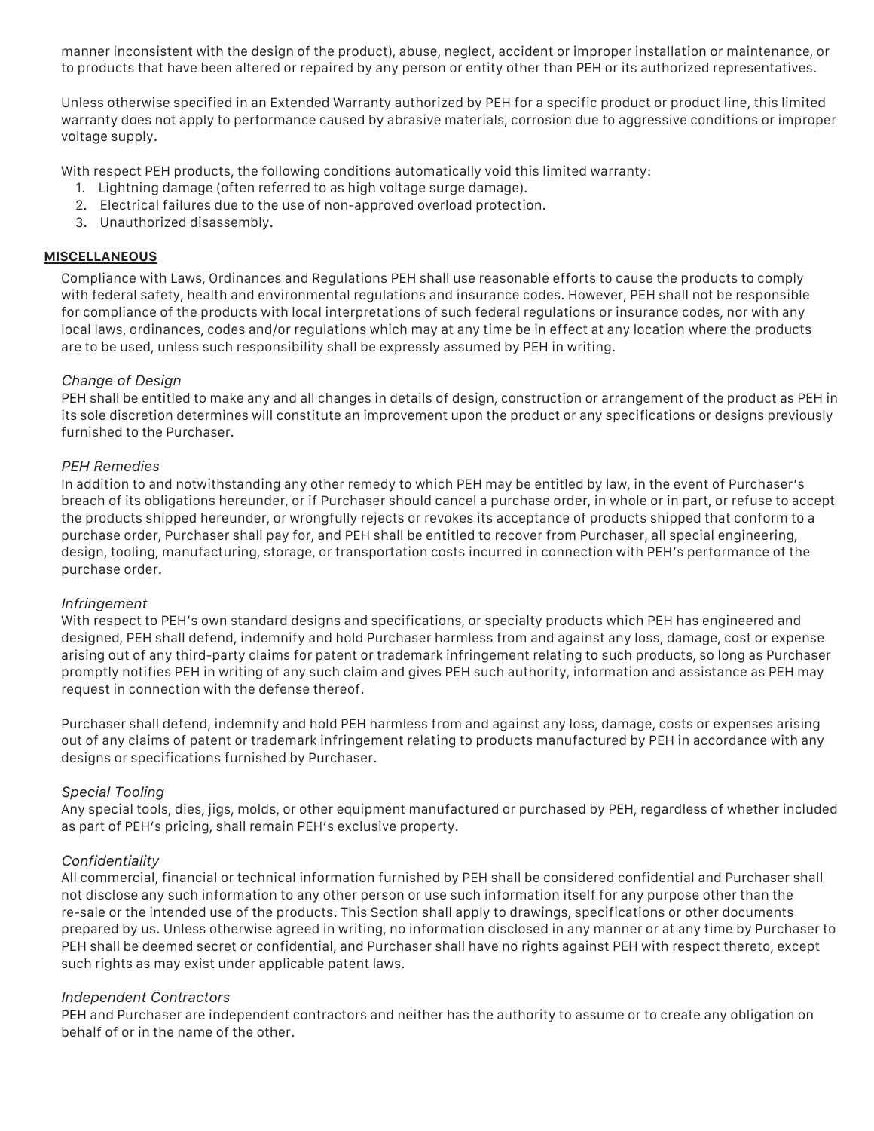manner inconsistent with the design of the product), abuse, neglect, accident or improper installation or maintenance, or to products that have been altered or repaired by any person or entity other than PEH or its authorized representatives.

Unless otherwise specified in an Extended Warranty authorized by PEH for a specific product or product line, this limited warranty does not apply to performance caused by abrasive materials, corrosion due to aggressive conditions or improper voltage supply.

With respect PEH products, the following conditions automatically void this limited warranty:

- 1. Lightning damage (often referred to as high voltage surge damage).
- 2. Electrical failures due to the use of non-approved overload protection.
- 3. Unauthorized disassembly.

## **MISCELLANEOUS**

Compliance with Laws, Ordinances and Regulations PEH shall use reasonable efforts to cause the products to comply with federal safety, health and environmental regulations and insurance codes. However, PEH shall not be responsible for compliance of the products with local interpretations of such federal regulations or insurance codes, nor with any local laws, ordinances, codes and/or regulations which may at any time be in effect at any location where the products are to be used, unless such responsibility shall be expressly assumed by PEH in writing.

## *Change of Design*

PEH shall be entitled to make any and all changes in details of design, construction or arrangement of the product as PEH in its sole discretion determines will constitute an improvement upon the product or any specifications or designs previously furnished to the Purchaser.

## *PEH Remedies*

In addition to and notwithstanding any other remedy to which PEH may be entitled by law, in the event of Purchaser's breach of its obligations hereunder, or if Purchaser should cancel a purchase order, in whole or in part, or refuse to accept the products shipped hereunder, or wrongfully rejects or revokes its acceptance of products shipped that conform to a purchase order, Purchaser shall pay for, and PEH shall be entitled to recover from Purchaser, all special engineering, design, tooling, manufacturing, storage, or transportation costs incurred in connection with PEH's performance of the purchase order.

## *Infringement*

With respect to PEH's own standard designs and specifications, or specialty products which PEH has engineered and designed, PEH shall defend, indemnify and hold Purchaser harmless from and against any loss, damage, cost or expense arising out of any third-party claims for patent or trademark infringement relating to such products, so long as Purchaser promptly notifies PEH in writing of any such claim and gives PEH such authority, information and assistance as PEH may request in connection with the defense thereof.

Purchaser shall defend, indemnify and hold PEH harmless from and against any loss, damage, costs or expenses arising out of any claims of patent or trademark infringement relating to products manufactured by PEH in accordance with any designs or specifications furnished by Purchaser.

## *Special Tooling*

Any special tools, dies, jigs, molds, or other equipment manufactured or purchased by PEH, regardless of whether included as part of PEH's pricing, shall remain PEH's exclusive property.

## *Confidentiality*

All commercial, financial or technical information furnished by PEH shall be considered confidential and Purchaser shall not disclose any such information to any other person or use such information itself for any purpose other than the re-sale or the intended use of the products. This Section shall apply to drawings, specifications or other documents prepared by us. Unless otherwise agreed in writing, no information disclosed in any manner or at any time by Purchaser to PEH shall be deemed secret or confidential, and Purchaser shall have no rights against PEH with respect thereto, except such rights as may exist under applicable patent laws.

## *Independent Contractors*

PEH and Purchaser are independent contractors and neither has the authority to assume or to create any obligation on behalf of or in the name of the other.